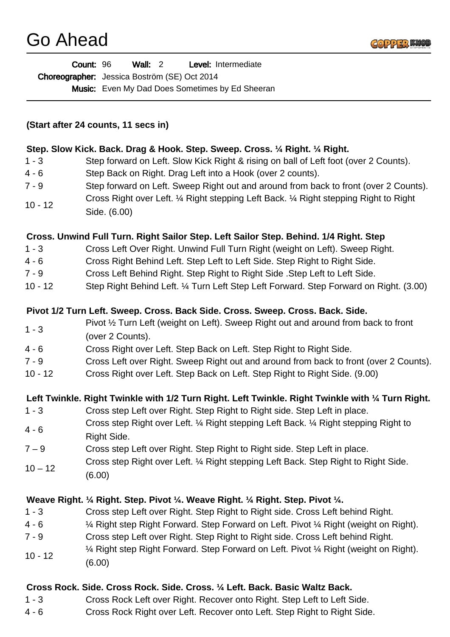| <b>Count: 96</b>                             | Wall: $2$ |  | <b>Level:</b> Intermediate                             |
|----------------------------------------------|-----------|--|--------------------------------------------------------|
| Choreographer: Jessica Boström (SE) Oct 2014 |           |  |                                                        |
|                                              |           |  | <b>Music:</b> Even My Dad Does Sometimes by Ed Sheeran |

#### **(Start after 24 counts, 11 secs in)**

## **Step. Slow Kick. Back. Drag & Hook. Step. Sweep. Cross. ¼ Right. ¼ Right.**

- 1 3 Step forward on Left. Slow Kick Right & rising on ball of Left foot (over 2 Counts).
- 4 6 Step Back on Right. Drag Left into a Hook (over 2 counts).
- 7 9 Step forward on Left. Sweep Right out and around from back to front (over 2 Counts).
- 10 12 Cross Right over Left. ¼ Right stepping Left Back. ¼ Right stepping Right to Right Side. (6.00)

#### **Cross. Unwind Full Turn. Right Sailor Step. Left Sailor Step. Behind. 1/4 Right. Step**

- 1 3 Cross Left Over Right. Unwind Full Turn Right (weight on Left). Sweep Right.
- 4 6 Cross Right Behind Left. Step Left to Left Side. Step Right to Right Side.
- 7 9 Cross Left Behind Right. Step Right to Right Side .Step Left to Left Side.
- 10 12 Step Right Behind Left. ¼ Turn Left Step Left Forward. Step Forward on Right. (3.00)

#### **Pivot 1/2 Turn Left. Sweep. Cross. Back Side. Cross. Sweep. Cross. Back. Side.**

- $1 3$ Pivot ½ Turn Left (weight on Left). Sweep Right out and around from back to front
- (over 2 Counts).
- 4 6 Cross Right over Left. Step Back on Left. Step Right to Right Side.
- 7 9 Cross Left over Right. Sweep Right out and around from back to front (over 2 Counts).
- 10 12 Cross Right over Left. Step Back on Left. Step Right to Right Side. (9.00)

### **Left Twinkle. Right Twinkle with 1/2 Turn Right. Left Twinkle. Right Twinkle with ¼ Turn Right.**

- 1 3 Cross step Left over Right. Step Right to Right side. Step Left in place.
- $4 6$ Cross step Right over Left. ¼ Right stepping Left Back. ¼ Right stepping Right to Right Side.
- 7 9 Cross step Left over Right. Step Right to Right side. Step Left in place.  $10 - 12$ Cross step Right over Left. ¼ Right stepping Left Back. Step Right to Right Side.
	- (6.00)

### **Weave Right. ¼ Right. Step. Pivot ¼. Weave Right. ¼ Right. Step. Pivot ¼.**

- 1 3 Cross step Left over Right. Step Right to Right side. Cross Left behind Right.
- 4 6 ¼ Right step Right Forward. Step Forward on Left. Pivot ¼ Right (weight on Right).
- 7 9 Cross step Left over Right. Step Right to Right side. Cross Left behind Right.
- 10 12 ¼ Right step Right Forward. Step Forward on Left. Pivot ¼ Right (weight on Right).
- (6.00)

### **Cross Rock. Side. Cross Rock. Side. Cross. ¼ Left. Back. Basic Waltz Back.**

- 1 3 Cross Rock Left over Right. Recover onto Right. Step Left to Left Side.
- 4 6 Cross Rock Right over Left. Recover onto Left. Step Right to Right Side.